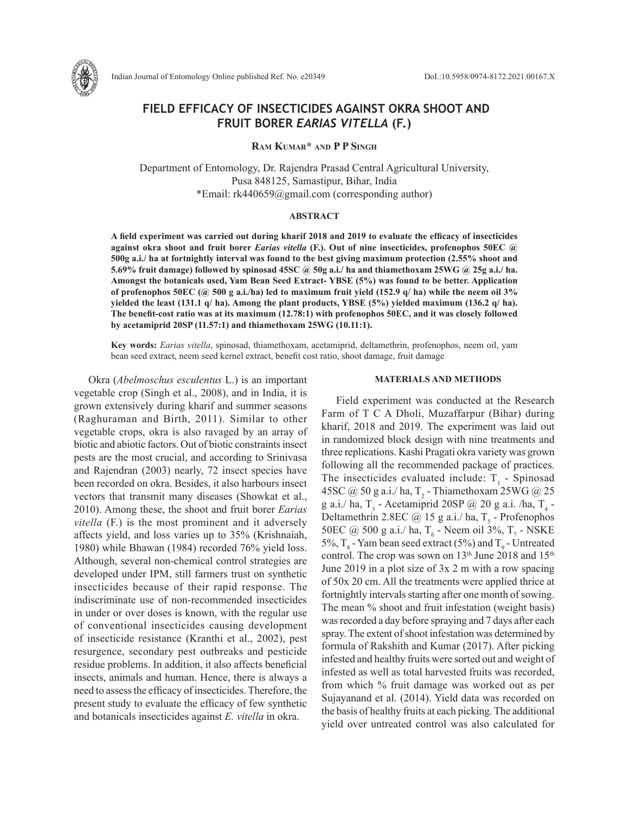

# **FIELD EFFICACY OF INSECTICIDES AGAINST OKRA SHOOT AND FRUIT BORER** *EARIAS VITELLA* **(F.)**

**Ram Kumar\* and P P Singh**

Department of Entomology, Dr. Rajendra Prasad Central Agricultural University, Pusa 848125, Samastipur, Bihar, India \*Email: rk440659@gmail.com (corresponding author)

## **ABSTRACT**

**A field experiment was carried out during kharif 2018 and 2019 to evaluate the efficacy of insecticides against okra shoot and fruit borer** *Earias vitella* **(F.). Out of nine insecticides, profenophos 50EC @ 500g a.i./ ha at fortnightly interval was found to the best giving maximum protection (2.55% shoot and 5.69% fruit damage) followed by spinosad 45SC @ 50g a.i./ ha and thiamethoxam 25WG @ 25g a.i./ ha. Amongst the botanicals used, Yam Bean Seed Extract- YBSE (5%) was found to be better. Application of profenophos 50EC (@ 500 g a.i./ha) led to maximum fruit yield (152.9 q/ ha) while the neem oil 3% yielded the least (131.1 q/ ha). Among the plant products, YBSE (5%) yielded maximum (136.2 q/ ha). The benefit-cost ratio was at its maximum (12.78:1) with profenophos 50EC, and it was closely followed by acetamiprid 20SP (11.57:1) and thiamethoxam 25WG (10.11:1).** 

**Key words:** *Earias vitella*, spinosad, thiamethoxam, acetamiprid, deltamethrin, profenophos, neem oil, yam bean seed extract, neem seed kernel extract, benefit cost ratio, shoot damage, fruit damage

Okra (*Abelmoschus esculentus* L.) is an important vegetable crop (Singh et al., 2008), and in India, it is grown extensively during kharif and summer seasons (Raghuraman and Birth, 2011). Similar to other vegetable crops, okra is also ravaged by an array of biotic and abiotic factors. Out of biotic constraints insect pests are the most crucial, and according to Srinivasa and Rajendran (2003) nearly, 72 insect species have been recorded on okra. Besides, it also harbours insect vectors that transmit many diseases (Showkat et al., 2010). Among these, the shoot and fruit borer *Earias vitella* (F.) is the most prominent and it adversely affects yield, and loss varies up to 35% (Krishnaiah, 1980) while Bhawan (1984) recorded 76% yield loss. Although, several non-chemical control strategies are developed under IPM, still farmers trust on synthetic insecticides because of their rapid response. The indiscriminate use of non-recommended insecticides in under or over doses is known, with the regular use of conventional insecticides causing development of insecticide resistance (Kranthi et al., 2002), pest resurgence, secondary pest outbreaks and pesticide residue problems. In addition, it also affects beneficial insects, animals and human. Hence, there is always a need to assess the efficacy of insecticides. Therefore, the present study to evaluate the efficacy of few synthetic and botanicals insecticides against *E. vitella* in okra.

# **MATERIALS AND METHODS**

Field experiment was conducted at the Research Farm of T C A Dholi, Muzaffarpur (Bihar) during kharif, 2018 and 2019. The experiment was laid out in randomized block design with nine treatments and three replications. Kashi Pragati okra variety was grown following all the recommended package of practices. The insecticides evaluated include:  $T_1$  - Spinosad 45SC @ 50 g a.i./ ha,  $T_2$  - Thiamethoxam 25WG @ 25 g a.i./ ha,  $T_3$  - Acetamiprid 20SP @ 20 g a.i./ha,  $T_4$  -Deltamethrin 2.8EC  $@$  15 g a.i./ ha, T<sub>5</sub> - Profenophos 50EC @ 500 g a.i./ ha,  $T_6$  - Neem oil 3%,  $T_7$  - NSKE 5%,  $T_s$  - Yam bean seed extract (5%) and  $T_g$  - Untreated control. The crop was sown on  $13<sup>th</sup>$  June 2018 and  $15<sup>th</sup>$ June 2019 in a plot size of 3x 2 m with a row spacing of 50x 20 cm. All the treatments were applied thrice at fortnightly intervals starting after one month of sowing. The mean % shoot and fruit infestation (weight basis) was recorded a day before spraying and 7 days after each spray. The extent of shoot infestation was determined by formula of Rakshith and Kumar (2017). After picking infested and healthy fruits were sorted out and weight of infested as well as total harvested fruits was recorded, from which % fruit damage was worked out as per Sujayanand et al. (2014). Yield data was recorded on the basis of healthy fruits at each picking. The additional yield over untreated control was also calculated for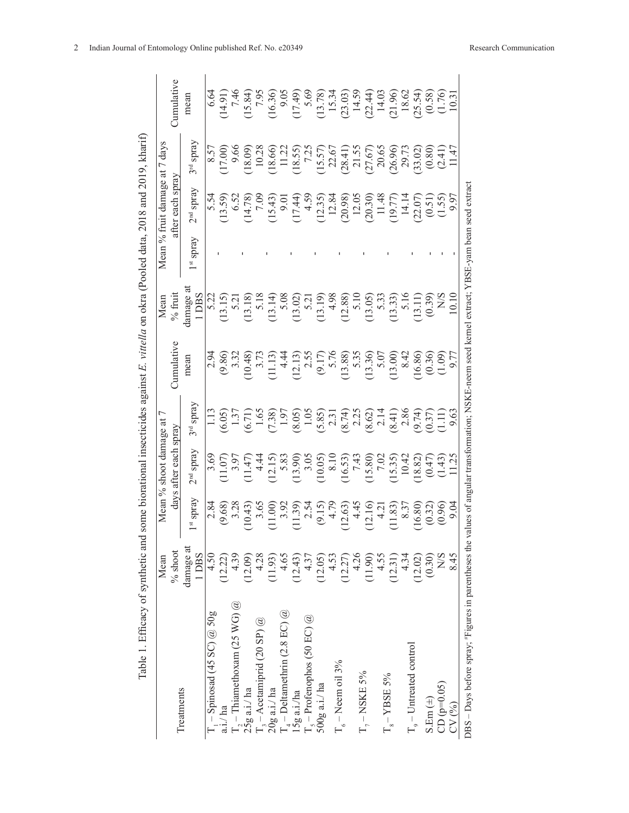|                                                                                                                                                   | Mean                         |                                                                                           | Mean % shoot damage at   |                                                                                                                                                                                              |                   | Mean                                                                                                                                                                                                                                                                                                                                                                                                          |                                  | Mean % fruit damage at 7                                                                                                                                                                                                                                        | days                                                                                                                                                                                                                                                                                                  |                                                                                                                                                                                                                                                                                                                                                  |
|---------------------------------------------------------------------------------------------------------------------------------------------------|------------------------------|-------------------------------------------------------------------------------------------|--------------------------|----------------------------------------------------------------------------------------------------------------------------------------------------------------------------------------------|-------------------|---------------------------------------------------------------------------------------------------------------------------------------------------------------------------------------------------------------------------------------------------------------------------------------------------------------------------------------------------------------------------------------------------------------|----------------------------------|-----------------------------------------------------------------------------------------------------------------------------------------------------------------------------------------------------------------------------------------------------------------|-------------------------------------------------------------------------------------------------------------------------------------------------------------------------------------------------------------------------------------------------------------------------------------------------------|--------------------------------------------------------------------------------------------------------------------------------------------------------------------------------------------------------------------------------------------------------------------------------------------------------------------------------------------------|
| Treatments                                                                                                                                        | $\%$ shoot                   |                                                                                           | each spray<br>days after |                                                                                                                                                                                              | <b>Cumulative</b> | $%$ fruit                                                                                                                                                                                                                                                                                                                                                                                                     |                                  | after each spray                                                                                                                                                                                                                                                |                                                                                                                                                                                                                                                                                                       | <b>Cumulative</b>                                                                                                                                                                                                                                                                                                                                |
|                                                                                                                                                   | damage at<br>DB <sub>S</sub> | spray<br>5f                                                                               | spray<br>2 <sup>nd</sup> | spray<br>3rd                                                                                                                                                                                 | mean              | damage a<br>1 DBS                                                                                                                                                                                                                                                                                                                                                                                             | spray<br>$\overline{\mathbf{s}}$ | $2nd$ spray                                                                                                                                                                                                                                                     | spray<br>3 <sup>rd</sup>                                                                                                                                                                                                                                                                              | mean                                                                                                                                                                                                                                                                                                                                             |
| $-$ Spinosad (45 SC) $@$ 50g                                                                                                                      | 4.50                         | 2.84                                                                                      |                          | 1.13                                                                                                                                                                                         |                   |                                                                                                                                                                                                                                                                                                                                                                                                               |                                  |                                                                                                                                                                                                                                                                 |                                                                                                                                                                                                                                                                                                       |                                                                                                                                                                                                                                                                                                                                                  |
| a.i./ ha                                                                                                                                          | (12.22)                      | (9.68)                                                                                    |                          |                                                                                                                                                                                              |                   |                                                                                                                                                                                                                                                                                                                                                                                                               |                                  |                                                                                                                                                                                                                                                                 |                                                                                                                                                                                                                                                                                                       |                                                                                                                                                                                                                                                                                                                                                  |
|                                                                                                                                                   | 4.39                         | 3.28                                                                                      |                          |                                                                                                                                                                                              |                   |                                                                                                                                                                                                                                                                                                                                                                                                               |                                  |                                                                                                                                                                                                                                                                 |                                                                                                                                                                                                                                                                                                       |                                                                                                                                                                                                                                                                                                                                                  |
| T <sub>2</sub> – Thiamethoxam (25 WG) $@$<br>25g a.i./ ha                                                                                         | (12.09)                      |                                                                                           |                          |                                                                                                                                                                                              |                   |                                                                                                                                                                                                                                                                                                                                                                                                               |                                  |                                                                                                                                                                                                                                                                 |                                                                                                                                                                                                                                                                                                       |                                                                                                                                                                                                                                                                                                                                                  |
|                                                                                                                                                   | 4.28                         |                                                                                           |                          |                                                                                                                                                                                              |                   |                                                                                                                                                                                                                                                                                                                                                                                                               |                                  |                                                                                                                                                                                                                                                                 |                                                                                                                                                                                                                                                                                                       |                                                                                                                                                                                                                                                                                                                                                  |
| T <sub>3</sub> – Acetamiprid (20 SP) @<br>20g a.i./ ha                                                                                            | (11.93)                      | $\begin{array}{c} (10.43) \\ 3.65 \\ (11.00) \\ 3.92 \end{array}$                         |                          |                                                                                                                                                                                              |                   |                                                                                                                                                                                                                                                                                                                                                                                                               |                                  |                                                                                                                                                                                                                                                                 |                                                                                                                                                                                                                                                                                                       |                                                                                                                                                                                                                                                                                                                                                  |
|                                                                                                                                                   | 4.65                         |                                                                                           |                          |                                                                                                                                                                                              |                   |                                                                                                                                                                                                                                                                                                                                                                                                               |                                  |                                                                                                                                                                                                                                                                 |                                                                                                                                                                                                                                                                                                       |                                                                                                                                                                                                                                                                                                                                                  |
| $\Gamma_4$ – Deltamethrin (2.8 EC) @<br>15g a.i./ha                                                                                               | (12.43)                      |                                                                                           |                          |                                                                                                                                                                                              |                   |                                                                                                                                                                                                                                                                                                                                                                                                               |                                  |                                                                                                                                                                                                                                                                 |                                                                                                                                                                                                                                                                                                       |                                                                                                                                                                                                                                                                                                                                                  |
| $R =$ Profenophos (50 EC) $@$                                                                                                                     | 4.37                         |                                                                                           |                          |                                                                                                                                                                                              |                   |                                                                                                                                                                                                                                                                                                                                                                                                               |                                  |                                                                                                                                                                                                                                                                 |                                                                                                                                                                                                                                                                                                       |                                                                                                                                                                                                                                                                                                                                                  |
| $500g$ a.i./ha                                                                                                                                    | (12.05)                      | $\begin{array}{c} (11.39) \\ 2.54 \\ (9.15) \\ 4.79 \\ (12.63) \\ (12.63) \\ \end{array}$ |                          | $(6.05)$<br>$(6.71)$<br>$(7.71)$<br>$(8.81)$<br>$(8.81)$<br>$(8.81)$<br>$(8.81)$<br>$(8.81)$<br>$(8.81)$<br>$(8.81)$<br>$(8.81)$<br>$(8.81)$<br>$(8.81)$<br>$(8.81)$<br>$(8.81)$<br>$(8.81)$ |                   | $\begin{array}{l} \text{(5,15)}\\ \text{(5,15)}\\ \text{(5,15)}\\ \text{(5,15)}\\ \text{(5,15)}\\ \text{(5,15)}\\ \text{(5,15)}\\ \text{(5,15)}\\ \text{(5,15)}\\ \text{(5,15)}\\ \text{(5,15)}\\ \text{(5,15)}\\ \text{(5,15)}\\ \text{(5,15)}\\ \text{(5,15)}\\ \text{(5,15)}\\ \text{(5,15)}\\ \text{(5,15)}\\ \text{(5,15)}\\ \text{(5,15)}\\ \text{(5,15)}\\ \text{(5,15)}\\ \text{(5,15)}\\ \text{(5,1$ |                                  | $(1, 3, 6)$<br>$(1, 3, 6)$<br>$(1, 3, 6)$<br>$(1, 3, 6)$<br>$(1, 3, 6)$<br>$(1, 3, 6)$<br>$(1, 3, 6)$<br>$(1, 3, 6)$<br>$(1, 3, 6)$<br>$(1, 3, 6)$<br>$(1, 3, 6)$<br>$(1, 3, 6)$<br>$(1, 3, 6)$<br>$(1, 3, 6)$<br>$(1, 3, 6)$<br>$(1, 3, 6)$<br>$(1, 3, 6)$<br> | $\begin{array}{l} 8.57 \\ 8.60 \\ 17.00 \\ 18.60 \\ 19.81 \\ 19.81 \\ 19.81 \\ 19.7 \\ 19.81 \\ 19.7 \\ 19.81 \\ 19.81 \\ 19.82 \\ 19.83 \\ 19.84 \\ 19.81 \\ 19.81 \\ 19.82 \\ 19.83 \\ 19.83 \\ 19.83 \\ 19.83 \\ 19.84 \\ 19.83 \\ 19.84 \\ 19.85 \\ 19.86 \\ 19.87 \\ 19.89 \\ 19.81 \\ 147 \\ 1$ | $\begin{array}{l} 14.91 \\ -14.84 \\ -1.84 \\ -1.84 \\ -1.84 \\ -1.84 \\ -1.84 \\ -1.84 \\ -1.84 \\ -1.85 \\ -1.86 \\ -1.87 \\ -1.87 \\ -1.87 \\ -1.87 \\ -1.87 \\ -1.87 \\ -1.87 \\ -1.87 \\ -1.87 \\ -1.87 \\ -1.87 \\ -1.87 \\ -1.87 \\ -1.87 \\ -1.87 \\ -1.87 \\ -1.87 \\ -1.87 \\ -1.87 \\ -1.87 \\ -1.87 \\ -1.87 \\ -1.87 \\ -1.87 \\ -$ |
|                                                                                                                                                   | 4.53                         |                                                                                           |                          |                                                                                                                                                                                              |                   |                                                                                                                                                                                                                                                                                                                                                                                                               |                                  |                                                                                                                                                                                                                                                                 |                                                                                                                                                                                                                                                                                                       |                                                                                                                                                                                                                                                                                                                                                  |
| $T_6$ – Neem oil 3%                                                                                                                               | (12.27)                      |                                                                                           |                          |                                                                                                                                                                                              |                   |                                                                                                                                                                                                                                                                                                                                                                                                               |                                  |                                                                                                                                                                                                                                                                 |                                                                                                                                                                                                                                                                                                       |                                                                                                                                                                                                                                                                                                                                                  |
|                                                                                                                                                   | 4.26                         |                                                                                           |                          |                                                                                                                                                                                              |                   |                                                                                                                                                                                                                                                                                                                                                                                                               |                                  |                                                                                                                                                                                                                                                                 |                                                                                                                                                                                                                                                                                                       |                                                                                                                                                                                                                                                                                                                                                  |
| $\rm T_{_{7}}-NSKE$ 5%                                                                                                                            | (11.90)                      | $(12.16)$<br>4.21                                                                         |                          |                                                                                                                                                                                              |                   |                                                                                                                                                                                                                                                                                                                                                                                                               |                                  |                                                                                                                                                                                                                                                                 |                                                                                                                                                                                                                                                                                                       |                                                                                                                                                                                                                                                                                                                                                  |
|                                                                                                                                                   | 4.55                         |                                                                                           |                          |                                                                                                                                                                                              |                   |                                                                                                                                                                                                                                                                                                                                                                                                               |                                  |                                                                                                                                                                                                                                                                 |                                                                                                                                                                                                                                                                                                       |                                                                                                                                                                                                                                                                                                                                                  |
| $T_s - \ensuremath{\mbox{Y}}\xspace \mathbf{BSE}$ 5%                                                                                              | (12.31)                      | (11.83)                                                                                   |                          |                                                                                                                                                                                              |                   |                                                                                                                                                                                                                                                                                                                                                                                                               |                                  |                                                                                                                                                                                                                                                                 |                                                                                                                                                                                                                                                                                                       |                                                                                                                                                                                                                                                                                                                                                  |
|                                                                                                                                                   | 4.34                         | 8.37                                                                                      |                          |                                                                                                                                                                                              |                   |                                                                                                                                                                                                                                                                                                                                                                                                               |                                  |                                                                                                                                                                                                                                                                 |                                                                                                                                                                                                                                                                                                       |                                                                                                                                                                                                                                                                                                                                                  |
| $T9 - Untreated control$                                                                                                                          | (12.02)                      | (6.80)                                                                                    |                          |                                                                                                                                                                                              |                   |                                                                                                                                                                                                                                                                                                                                                                                                               |                                  |                                                                                                                                                                                                                                                                 |                                                                                                                                                                                                                                                                                                       |                                                                                                                                                                                                                                                                                                                                                  |
| $S.Em (\pm)$                                                                                                                                      | (0.30)                       | $(0.32)$<br>$(0.96)$                                                                      |                          |                                                                                                                                                                                              |                   |                                                                                                                                                                                                                                                                                                                                                                                                               |                                  |                                                                                                                                                                                                                                                                 |                                                                                                                                                                                                                                                                                                       |                                                                                                                                                                                                                                                                                                                                                  |
| $CD (p=0.05)$                                                                                                                                     | S/N                          |                                                                                           |                          |                                                                                                                                                                                              |                   |                                                                                                                                                                                                                                                                                                                                                                                                               |                                  |                                                                                                                                                                                                                                                                 |                                                                                                                                                                                                                                                                                                       |                                                                                                                                                                                                                                                                                                                                                  |
| CV(%)                                                                                                                                             | 8.45                         |                                                                                           |                          |                                                                                                                                                                                              |                   |                                                                                                                                                                                                                                                                                                                                                                                                               |                                  |                                                                                                                                                                                                                                                                 |                                                                                                                                                                                                                                                                                                       |                                                                                                                                                                                                                                                                                                                                                  |
| DBS -- Days before spray; "Figures in parentheses the values of angular transformation; NSKE-neem seed kernel extract; YBSE-yam bean seed extract |                              |                                                                                           |                          |                                                                                                                                                                                              |                   |                                                                                                                                                                                                                                                                                                                                                                                                               |                                  |                                                                                                                                                                                                                                                                 |                                                                                                                                                                                                                                                                                                       |                                                                                                                                                                                                                                                                                                                                                  |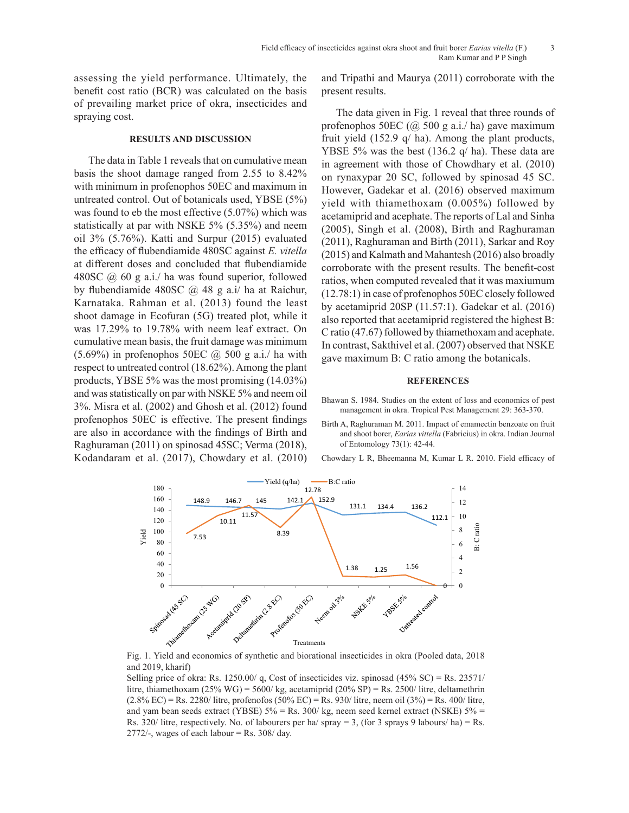assessing the yield performance. Ultimately, the benefit cost ratio (BCR) was calculated on the basis of prevailing market price of okra, insecticides and spraying cost.

## **RESULTS AND DISCUSSION**

The data in Table 1 reveals that on cumulative mean basis the shoot damage ranged from 2.55 to 8.42% with minimum in profenophos 50EC and maximum in untreated control. Out of botanicals used, YBSE (5%) was found to eb the most effective (5.07%) which was statistically at par with NSKE 5% (5.35%) and neem oil 3% (5.76%). Katti and Surpur (2015) evaluated the efficacy of flubendiamide 480SC against *E. vitella* at different doses and concluded that flubendiamide 480SC  $(a)$  60 g a.i./ ha was found superior, followed by flubendiamide 480SC @ 48 g a.i/ ha at Raichur, Karnataka. Rahman et al. (2013) found the least shoot damage in Ecofuran (5G) treated plot, while it was 17.29% to 19.78% with neem leaf extract. On cumulative mean basis, the fruit damage was minimum  $(5.69\%)$  in profenophos 50EC  $\omega$  500 g a.i./ ha with respect to untreated control (18.62%). Among the plant products, YBSE 5% was the most promising (14.03%) and was statistically on par with NSKE 5% and neem oil 3%. Misra et al. (2002) and Ghosh et al. (2012) found profenophos 50EC is effective. The present findings are also in accordance with the findings of Birth and Raghuraman (2011) on spinosad 45SC; Verma (2018), Kodandaram et al. (2017), Chowdary et al. (2010) and Tripathi and Maurya (2011) corroborate with the present results.

The data given in Fig. 1 reveal that three rounds of profenophos 50EC  $(Q\ 500 \ g\ a.i./$  ha) gave maximum fruit yield (152.9 q/ ha). Among the plant products, YBSE 5% was the best (136.2 q/ ha). These data are in agreement with those of Chowdhary et al. (2010) on rynaxypar 20 SC, followed by spinosad 45 SC. However, Gadekar et al. (2016) observed maximum yield with thiamethoxam (0.005%) followed by acetamiprid and acephate. The reports of Lal and Sinha (2005), Singh et al. (2008), Birth and Raghuraman (2011), Raghuraman and Birth (2011), Sarkar and Roy (2015) and Kalmath and Mahantesh (2016) also broadly corroborate with the present results. The benefit-cost ratios, when computed revealed that it was maxiumum (12.78:1) in case of profenophos 50EC closely followed by acetamiprid 20SP (11.57:1). Gadekar et al. (2016) also reported that acetamiprid registered the highest B: C ratio (47.67) followed by thiamethoxam and acephate. In contrast, Sakthivel et al. (2007) observed that NSKE gave maximum B: C ratio among the botanicals.

#### **REFERENCES**

- Bhawan S. 1984. Studies on the extent of loss and economics of pest management in okra. Tropical Pest Management 29: 363-370.
- Birth A, Raghuraman M. 2011. Impact of emamectin benzoate on fruit and shoot borer, *Earias vittella* (Fabricius) in okra. Indian Journal of Entomology 73(1): 42-44.

Chowdary L R, Bheemanna M, Kumar L R. 2010. Field efficacy of



Fig. 1. Yield and economics of synthetic and biorational insecticides in okra (Pooled data, 2018 and 2019, kharif)

Selling price of okra: Rs. 1250.00/ q, Cost of insecticides viz. spinosad (45% SC) = Rs. 23571/ litre, thiamethoxam (25% WG) = 5600/ kg, acetamiprid (20% SP) = Rs. 2500/ litre, deltamethrin (2.8% EC) = Rs. 2280/ litre, profenofos (50% EC) = Rs. 930/ litre, neem oil (3%) = Rs. 400/ litre, and yam bean seeds extract (YBSE)  $5\% = \text{Rs}$ . 300/kg, neem seed kernel extract (NSKE)  $5\% =$ Rs. 320/ litre, respectively. No. of labourers per ha/ spray = 3, (for 3 sprays 9 labours/ ha) = Rs. 2772/-, wages of each labour  $=$  Rs. 308/ day.